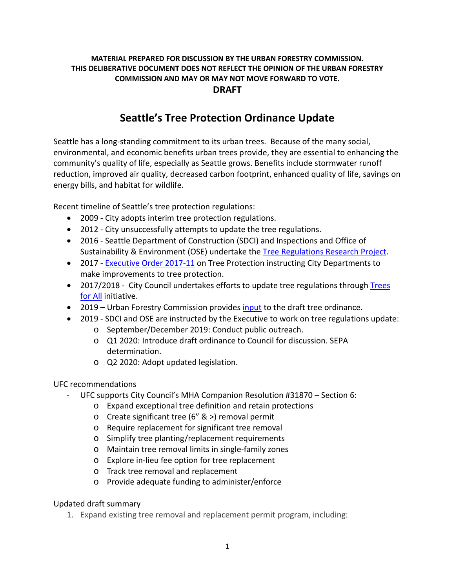## **MATERIAL PREPARED FOR DISCUSSION BY THE URBAN FORESTRY COMMISSION. THIS DELIBERATIVE DOCUMENT DOES NOT REFLECT THE OPINION OF THE URBAN FORESTRY COMMISSION AND MAY OR MAY NOT MOVE FORWARD TO VOTE. DRAFT**

## **Seattle's Tree Protection Ordinance Update**

Seattle has a long-standing commitment to its urban trees. Because of the many social, environmental, and economic benefits urban trees provide, they are essential to enhancing the community's quality of life, especially as Seattle grows. Benefits include stormwater runoff reduction, improved air quality, decreased carbon footprint, enhanced quality of life, savings on energy bills, and habitat for wildlife.

Recent timeline of Seattle's tree protection regulations:

- 2009 City adopts interim tree protection regulations.
- 2012 City unsuccessfully attempts to update the tree regulations.
- 2016 Seattle Department of Construction (SDCI) and Inspections and Office of Sustainability & Environment (OSE) undertake the [Tree Regulations Research Project.](http://www.seattle.gov/Documents/Departments/UrbanForestryCommission/Resources/Final%20Report_Tree%20Regulation%20Research%20ProjectPahseII_31MAR2017_final.pdf)
- 2017 [Executive Order 2017-11](http://www.seattle.gov/Documents/Departments/UrbanForestryCommission/2018/2018docs/TreeExecOrder2017-11FINAL.pdf) on Tree Protection instructing City Departments to make improvements to tree protection.
- 2017/2018 City Council undertakes efforts to update tree regulations through Trees [for All](http://www.seattle.gov/council/issues/past-issues/trees-for-all) initiative.
- 2019 Urban Forestry Commission provides [input](http://www.seattle.gov/Documents/Departments/UrbanForestryCommission/Resources/OutlineandDraftUFCTreeProtectionRegs070219FullDoc.pdf) to the draft tree ordinance.
- 2019 SDCI and OSE are instructed by the Executive to work on tree regulations update:
	- o September/December 2019: Conduct public outreach.
	- o Q1 2020: Introduce draft ordinance to Council for discussion. SEPA determination.
	- o Q2 2020: Adopt updated legislation.

## UFC recommendations

- UFC supports City Council's MHA Companion Resolution #31870 Section 6:
	- o Expand exceptional tree definition and retain protections
	- o Create significant tree (6" & >) removal permit
	- o Require replacement for significant tree removal
	- o Simplify tree planting/replacement requirements
	- o Maintain tree removal limits in single-family zones
	- o Explore in-lieu fee option for tree replacement
	- o Track tree removal and replacement
	- o Provide adequate funding to administer/enforce

## Updated draft summary

1. Expand existing tree removal and replacement permit program, including: